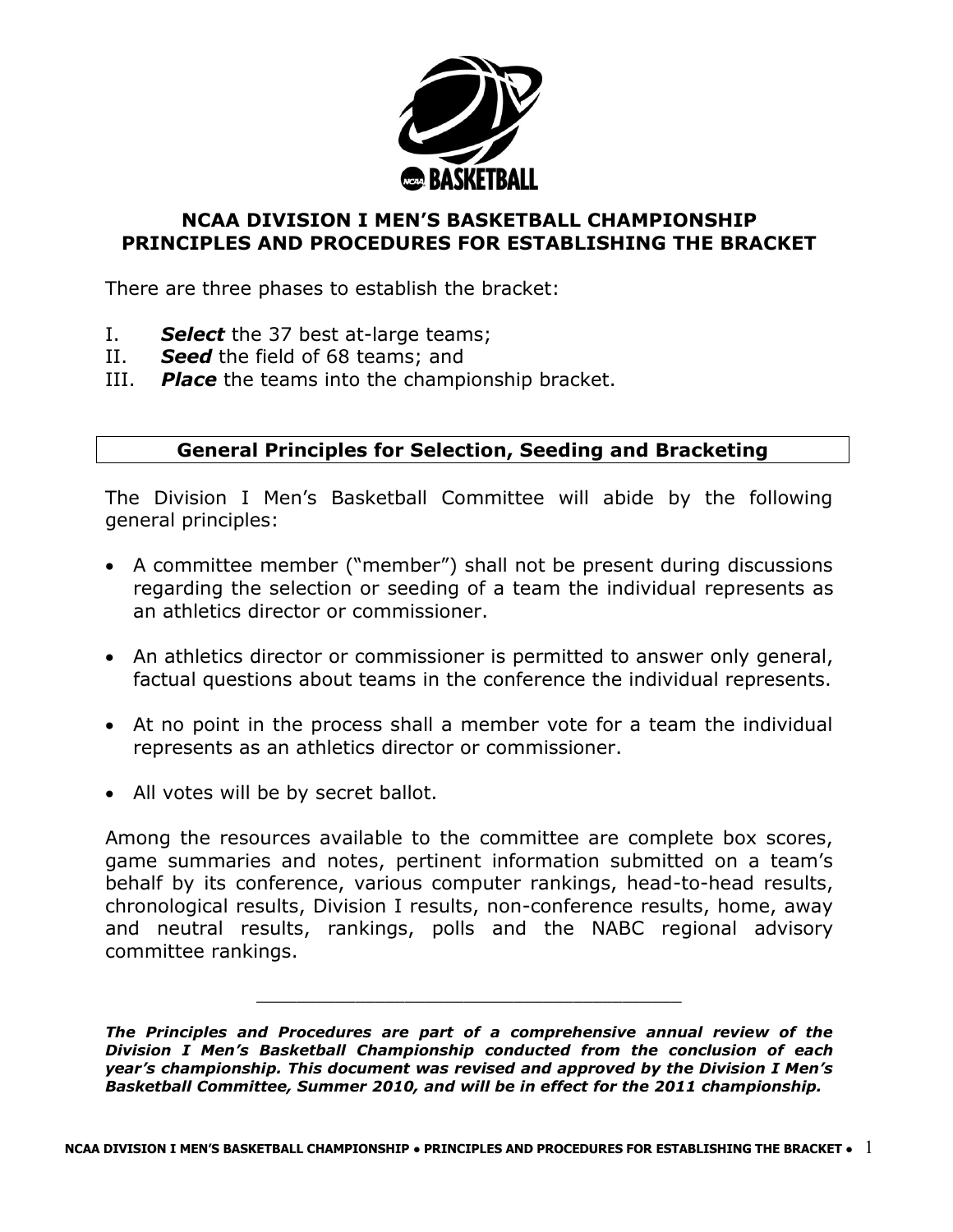

# **NCAA DIVISION I MEN'S BASKETBALL CHAMPIONSHIP PRINCIPLES AND PROCEDURES FOR ESTABLISHING THE BRACKET**

There are three phases to establish the bracket:

- I. *Select* the 37 best at-large teams;
- II. *Seed* the field of 68 teams; and
- III. *Place* the teams into the championship bracket.

# **General Principles for Selection, Seeding and Bracketing**

The Division I Men"s Basketball Committee will abide by the following general principles:

- A committee member ("member") shall not be present during discussions regarding the selection or seeding of a team the individual represents as an athletics director or commissioner.
- An athletics director or commissioner is permitted to answer only general, factual questions about teams in the conference the individual represents.
- At no point in the process shall a member vote for a team the individual represents as an athletics director or commissioner.
- All votes will be by secret ballot.

Among the resources available to the committee are complete box scores, game summaries and notes, pertinent information submitted on a team's behalf by its conference, various computer rankings, head-to-head results, chronological results, Division I results, non-conference results, home, away and neutral results, rankings, polls and the NABC regional advisory committee rankings.

*The Principles and Procedures are part of a comprehensive annual review of the Division I Men's Basketball Championship conducted from the conclusion of each year's championship. This document was revised and approved by the Division I Men's Basketball Committee, Summer 2010, and will be in effect for the 2011 championship.*

\_\_\_\_\_\_\_\_\_\_\_\_\_\_\_\_\_\_\_\_\_\_\_\_\_\_\_\_\_\_\_\_\_\_\_\_\_\_\_\_\_\_\_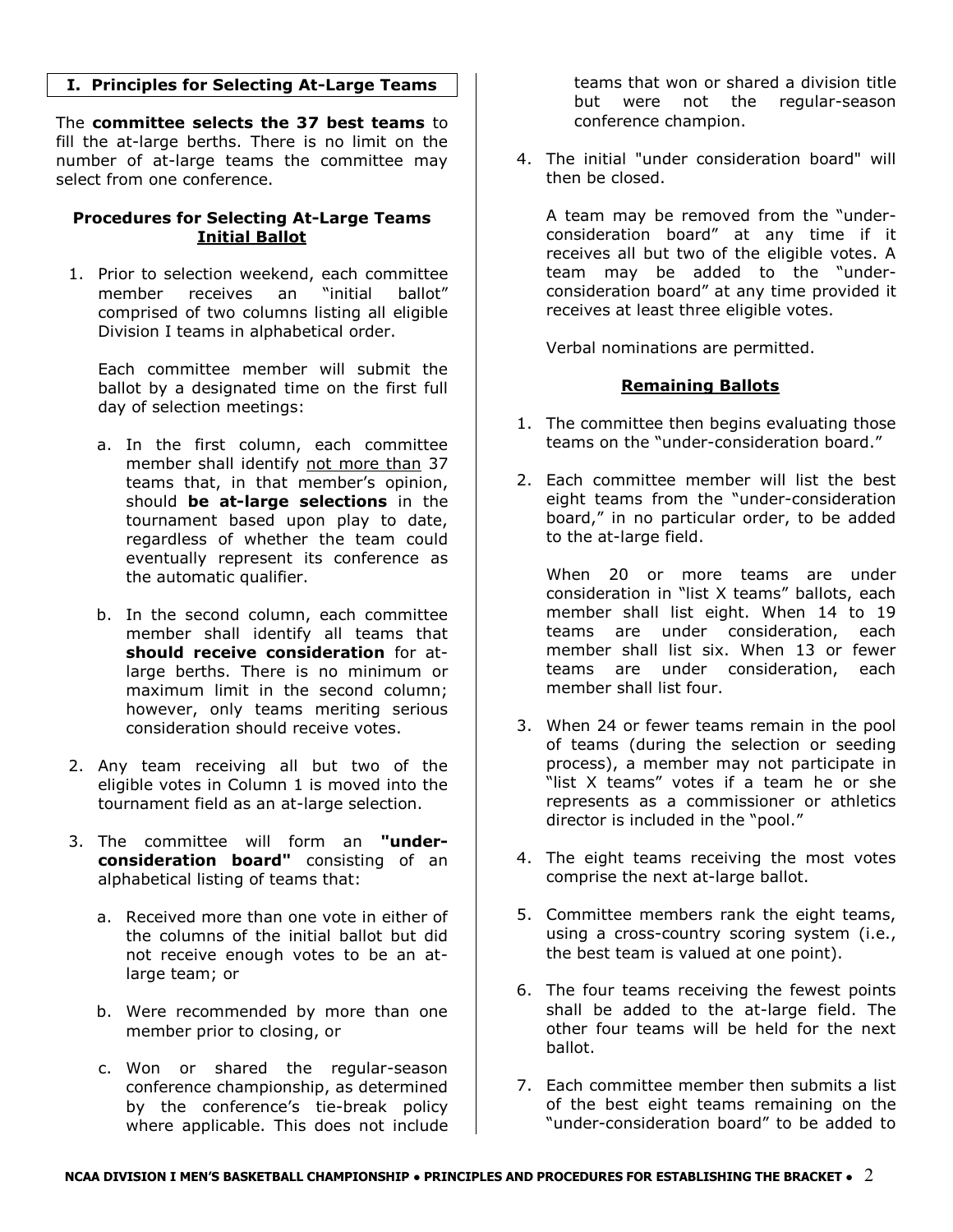## **I. Principles for Selecting At-Large Teams**

The **committee selects the 37 best teams** to fill the at-large berths. There is no limit on the number of at-large teams the committee may select from one conference.

### **Procedures for Selecting At-Large Teams Initial Ballot**

1. Prior to selection weekend, each committee member receives an "initial ballot" comprised of two columns listing all eligible Division I teams in alphabetical order.

Each committee member will submit the ballot by a designated time on the first full day of selection meetings:

- a. In the first column, each committee member shall identify not more than 37 teams that, in that member's opinion, should **be at-large selections** in the tournament based upon play to date, regardless of whether the team could eventually represent its conference as the automatic qualifier.
- b. In the second column, each committee member shall identify all teams that **should receive consideration** for atlarge berths. There is no minimum or maximum limit in the second column; however, only teams meriting serious consideration should receive votes.
- 2. Any team receiving all but two of the eligible votes in Column 1 is moved into the tournament field as an at-large selection.
- 3. The committee will form an **"underconsideration board"** consisting of an alphabetical listing of teams that:
	- a. Received more than one vote in either of the columns of the initial ballot but did not receive enough votes to be an atlarge team; or
	- b. Were recommended by more than one member prior to closing, or
	- c. Won or shared the regular-season conference championship, as determined by the conference's tie-break policy where applicable. This does not include

teams that won or shared a division title but were not the regular-season conference champion.

4. The initial "under consideration board" will then be closed.

A team may be removed from the "underconsideration board" at any time if it receives all but two of the eligible votes. A team may be added to the "underconsideration board" at any time provided it receives at least three eligible votes.

Verbal nominations are permitted.

## **Remaining Ballots**

- 1. The committee then begins evaluating those teams on the "under-consideration board."
- 2. Each committee member will list the best eight teams from the "under-consideration board," in no particular order, to be added to the at-large field.

When 20 or more teams are under consideration in "list X teams" ballots, each member shall list eight. When 14 to 19 teams are under consideration, each member shall list six. When 13 or fewer teams are under consideration, each member shall list four.

- 3. When 24 or fewer teams remain in the pool of teams (during the selection or seeding process), a member may not participate in "list X teams" votes if a team he or she represents as a commissioner or athletics director is included in the "pool."
- 4. The eight teams receiving the most votes comprise the next at-large ballot.
- 5. Committee members rank the eight teams, using a cross-country scoring system (i.e., the best team is valued at one point).
- 6. The four teams receiving the fewest points shall be added to the at-large field. The other four teams will be held for the next ballot.
- 7. Each committee member then submits a list of the best eight teams remaining on the "under-consideration board" to be added to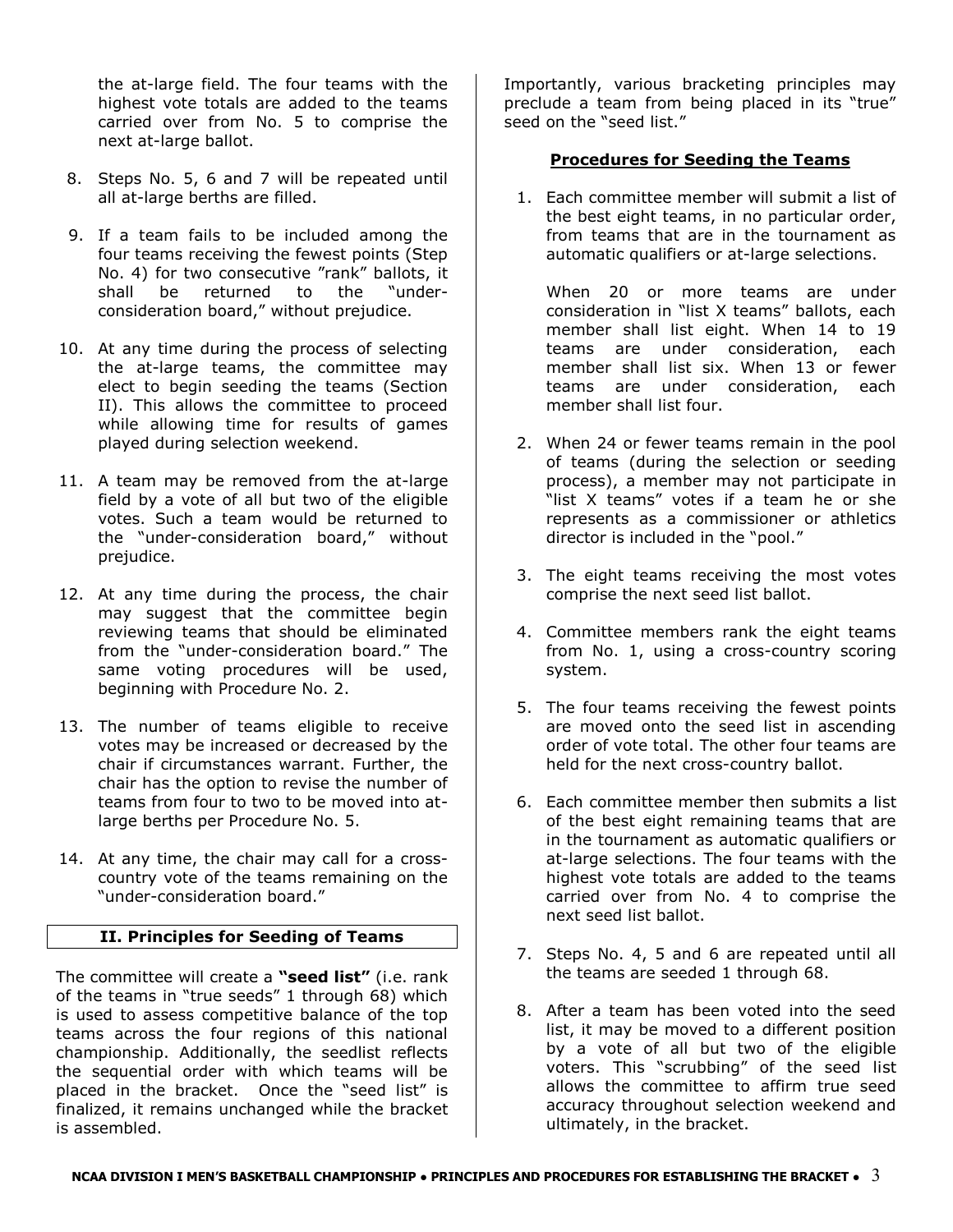the at-large field. The four teams with the highest vote totals are added to the teams carried over from No. 5 to comprise the next at-large ballot.

- 8. Steps No. 5, 6 and 7 will be repeated until all at-large berths are filled.
- 9. If a team fails to be included among the four teams receiving the fewest points (Step No. 4) for two consecutive "rank" ballots, it shall be returned to the "underconsideration board," without prejudice.
- 10. At any time during the process of selecting the at-large teams, the committee may elect to begin seeding the teams (Section II). This allows the committee to proceed while allowing time for results of games played during selection weekend.
- 11. A team may be removed from the at-large field by a vote of all but two of the eligible votes. Such a team would be returned to the "under-consideration board," without prejudice.
- 12. At any time during the process, the chair may suggest that the committee begin reviewing teams that should be eliminated from the "under-consideration board." The same voting procedures will be used, beginning with Procedure No. 2.
- 13. The number of teams eligible to receive votes may be increased or decreased by the chair if circumstances warrant. Further, the chair has the option to revise the number of teams from four to two to be moved into atlarge berths per Procedure No. 5.
- 14. At any time, the chair may call for a crosscountry vote of the teams remaining on the "under-consideration board."

#### **II. Principles for Seeding of Teams**

The committee will create a **"seed list"** (i.e. rank of the teams in "true seeds" 1 through 68) which is used to assess competitive balance of the top teams across the four regions of this national championship. Additionally, the seedlist reflects the sequential order with which teams will be placed in the bracket. Once the "seed list" is finalized, it remains unchanged while the bracket is assembled.

Importantly, various bracketing principles may preclude a team from being placed in its "true" seed on the "seed list."

#### **Procedures for Seeding the Teams**

1. Each committee member will submit a list of the best eight teams, in no particular order, from teams that are in the tournament as automatic qualifiers or at-large selections.

When 20 or more teams are under consideration in "list X teams" ballots, each member shall list eight. When 14 to 19 teams are under consideration, each member shall list six. When 13 or fewer teams are under consideration, each member shall list four.

- 2. When 24 or fewer teams remain in the pool of teams (during the selection or seeding process), a member may not participate in "list X teams" votes if a team he or she represents as a commissioner or athletics director is included in the "pool."
- 3. The eight teams receiving the most votes comprise the next seed list ballot.
- 4. Committee members rank the eight teams from No. 1, using a cross-country scoring system.
- 5. The four teams receiving the fewest points are moved onto the seed list in ascending order of vote total. The other four teams are held for the next cross-country ballot.
- 6. Each committee member then submits a list of the best eight remaining teams that are in the tournament as automatic qualifiers or at-large selections. The four teams with the highest vote totals are added to the teams carried over from No. 4 to comprise the next seed list ballot.
- 7. Steps No. 4, 5 and 6 are repeated until all the teams are seeded 1 through 68.
- 8. After a team has been voted into the seed list, it may be moved to a different position by a vote of all but two of the eligible voters. This "scrubbing" of the seed list allows the committee to affirm true seed accuracy throughout selection weekend and ultimately, in the bracket.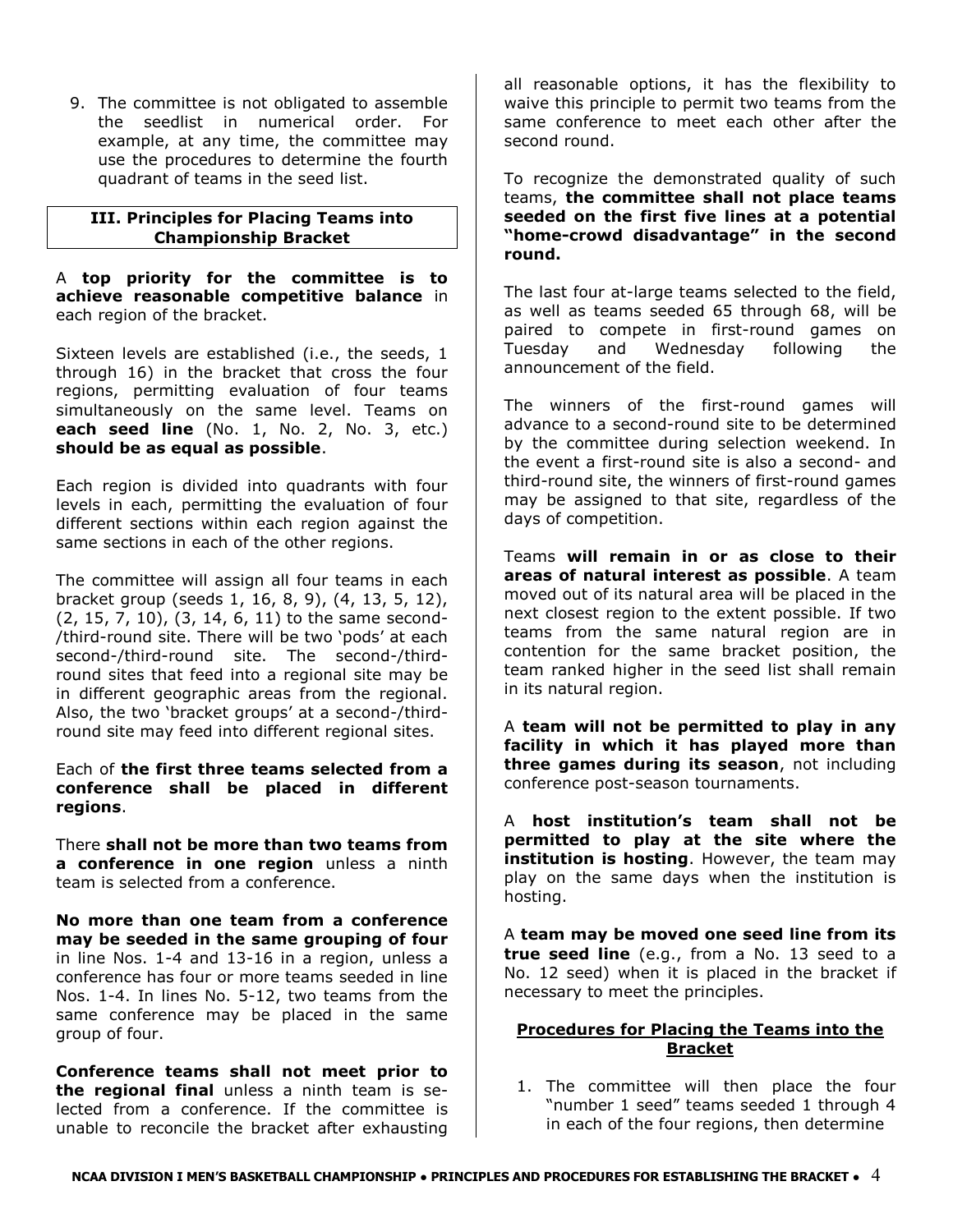9. The committee is not obligated to assemble the seedlist in numerical order. For example, at any time, the committee may use the procedures to determine the fourth quadrant of teams in the seed list.

#### **III. Principles for Placing Teams into Championship Bracket**

A **top priority for the committee is to achieve reasonable competitive balance** in each region of the bracket.

Sixteen levels are established (i.e., the seeds, 1 through 16) in the bracket that cross the four regions, permitting evaluation of four teams simultaneously on the same level. Teams on **each seed line** (No. 1, No. 2, No. 3, etc.) **should be as equal as possible**.

Each region is divided into quadrants with four levels in each, permitting the evaluation of four different sections within each region against the same sections in each of the other regions.

The committee will assign all four teams in each bracket group (seeds 1, 16, 8, 9), (4, 13, 5, 12), (2, 15, 7, 10), (3, 14, 6, 11) to the same second- /third-round site. There will be two "pods" at each second-/third-round site. The second-/thirdround sites that feed into a regional site may be in different geographic areas from the regional. Also, the two "bracket groups" at a second-/thirdround site may feed into different regional sites.

#### Each of **the first three teams selected from a conference shall be placed in different regions**.

There **shall not be more than two teams from a conference in one region** unless a ninth team is selected from a conference.

**No more than one team from a conference may be seeded in the same grouping of four** in line Nos. 1-4 and 13-16 in a region, unless a conference has four or more teams seeded in line Nos. 1-4. In lines No. 5-12, two teams from the same conference may be placed in the same group of four.

**Conference teams shall not meet prior to the regional final** unless a ninth team is selected from a conference. If the committee is unable to reconcile the bracket after exhausting

all reasonable options, it has the flexibility to waive this principle to permit two teams from the same conference to meet each other after the second round.

To recognize the demonstrated quality of such teams, **the committee shall not place teams seeded on the first five lines at a potential "home-crowd disadvantage" in the second round.**

The last four at-large teams selected to the field, as well as teams seeded 65 through 68, will be paired to compete in first-round games on Tuesday and Wednesday following the announcement of the field.

The winners of the first-round games will advance to a second-round site to be determined by the committee during selection weekend. In the event a first-round site is also a second- and third-round site, the winners of first-round games may be assigned to that site, regardless of the days of competition.

Teams **will remain in or as close to their areas of natural interest as possible**. A team moved out of its natural area will be placed in the next closest region to the extent possible. If two teams from the same natural region are in contention for the same bracket position, the team ranked higher in the seed list shall remain in its natural region.

A **team will not be permitted to play in any facility in which it has played more than three games during its season**, not including conference post-season tournaments.

A **host institution's team shall not be permitted to play at the site where the institution is hosting**. However, the team may play on the same days when the institution is hosting.

A **team may be moved one seed line from its true seed line** (e.g., from a No. 13 seed to a No. 12 seed) when it is placed in the bracket if necessary to meet the principles.

### **Procedures for Placing the Teams into the Bracket**

1. The committee will then place the four "number 1 seed" teams seeded 1 through 4 in each of the four regions, then determine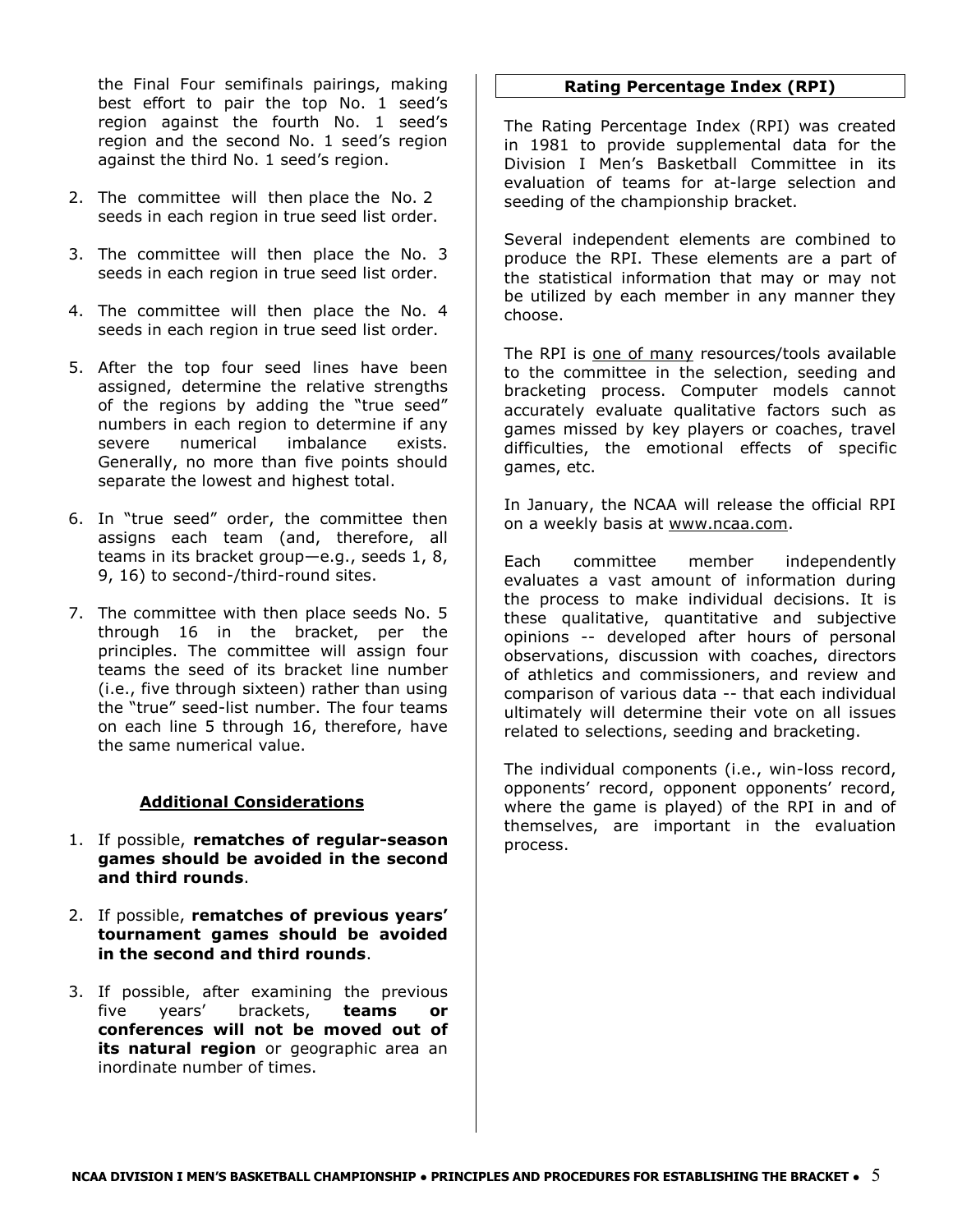the Final Four semifinals pairings, making best effort to pair the top No. 1 seed"s region against the fourth No. 1 seed"s region and the second No. 1 seed"s region against the third No. 1 seed"s region.

- 2. The committee will then place the No. 2 seeds in each region in true seed list order.
- 3. The committee will then place the No. 3 seeds in each region in true seed list order.
- 4. The committee will then place the No. 4 seeds in each region in true seed list order.
- 5. After the top four seed lines have been assigned, determine the relative strengths of the regions by adding the "true seed" numbers in each region to determine if any severe numerical imbalance exists. Generally, no more than five points should separate the lowest and highest total.
- 6. In "true seed" order, the committee then assigns each team (and, therefore, all teams in its bracket group—e.g., seeds 1, 8, 9, 16) to second-/third-round sites.
- 7. The committee with then place seeds No. 5 through 16 in the bracket, per the principles. The committee will assign four teams the seed of its bracket line number (i.e., five through sixteen) rather than using the "true" seed-list number. The four teams on each line 5 through 16, therefore, have the same numerical value.

#### **Additional Considerations**

- 1. If possible, **rematches of regular-season games should be avoided in the second and third rounds**.
- 2. If possible, **rematches of previous years' tournament games should be avoided in the second and third rounds**.
- 3. If possible, after examining the previous five years" brackets, **teams or conferences will not be moved out of its natural region** or geographic area an inordinate number of times.

#### **Rating Percentage Index (RPI)**

The Rating Percentage Index (RPI) was created in 1981 to provide supplemental data for the Division I Men"s Basketball Committee in its evaluation of teams for at-large selection and seeding of the championship bracket.

Several independent elements are combined to produce the RPI. These elements are a part of the statistical information that may or may not be utilized by each member in any manner they choose.

The RPI is one of many resources/tools available to the committee in the selection, seeding and bracketing process. Computer models cannot accurately evaluate qualitative factors such as games missed by key players or coaches, travel difficulties, the emotional effects of specific games, etc.

In January, the NCAA will release the official RPI on a weekly basis at www.ncaa.com.

Each committee member independently evaluates a vast amount of information during the process to make individual decisions. It is these qualitative, quantitative and subjective opinions -- developed after hours of personal observations, discussion with coaches, directors of athletics and commissioners, and review and comparison of various data -- that each individual ultimately will determine their vote on all issues related to selections, seeding and bracketing.

The individual components (i.e., win-loss record, opponents' record, opponent opponents' record, where the game is played) of the RPI in and of themselves, are important in the evaluation process.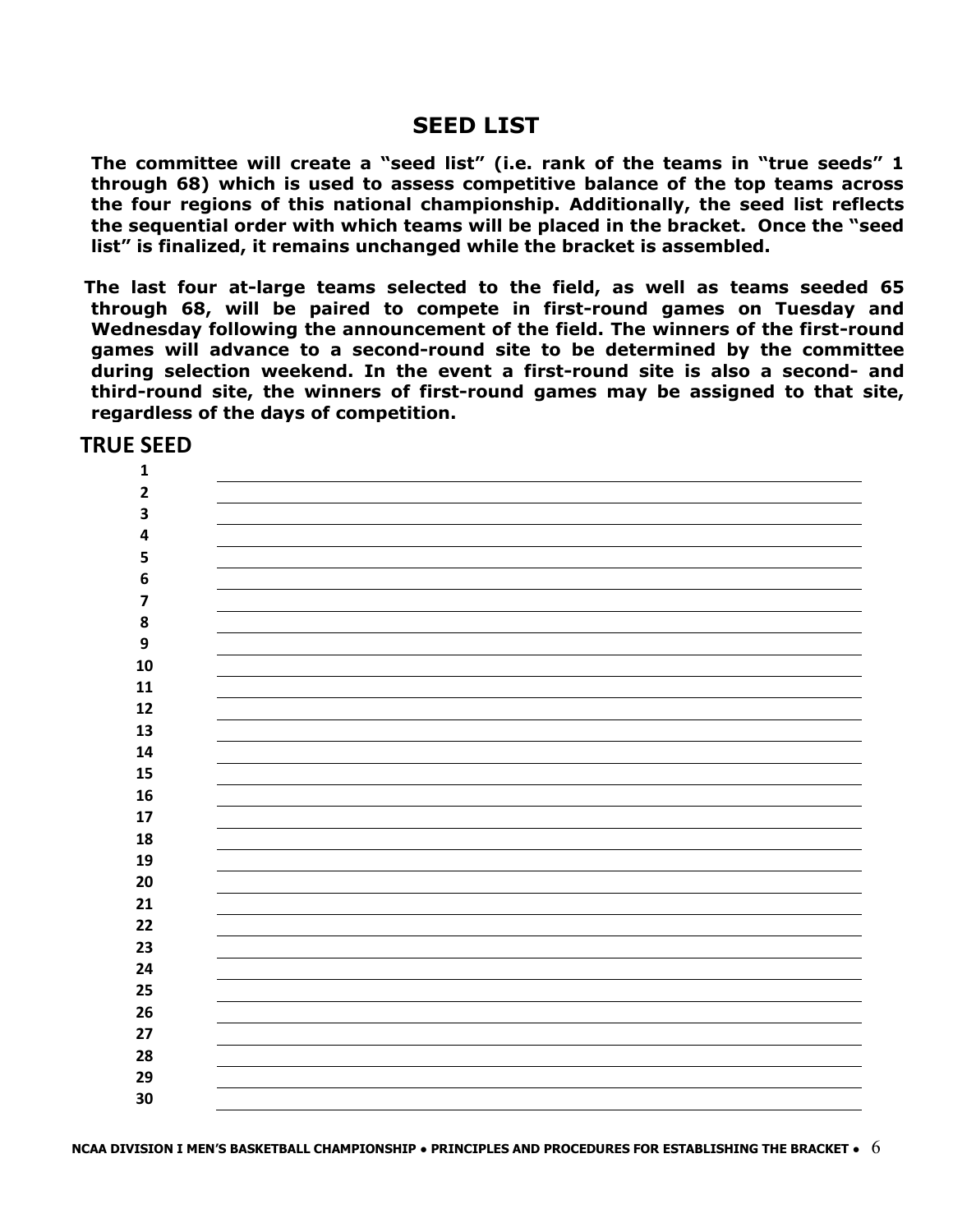# **SEED LIST**

**The committee will create a "seed list" (i.e. rank of the teams in "true seeds" 1 through 68) which is used to assess competitive balance of the top teams across the four regions of this national championship. Additionally, the seed list reflects the sequential order with which teams will be placed in the bracket. Once the "seed list" is finalized, it remains unchanged while the bracket is assembled.**

**The last four at-large teams selected to the field, as well as teams seeded 65 through 68, will be paired to compete in first-round games on Tuesday and Wednesday following the announcement of the field. The winners of the first-round games will advance to a second-round site to be determined by the committee during selection weekend. In the event a first-round site is also a second- and third-round site, the winners of first-round games may be assigned to that site, regardless of the days of competition.**



## **TRUE SEED**